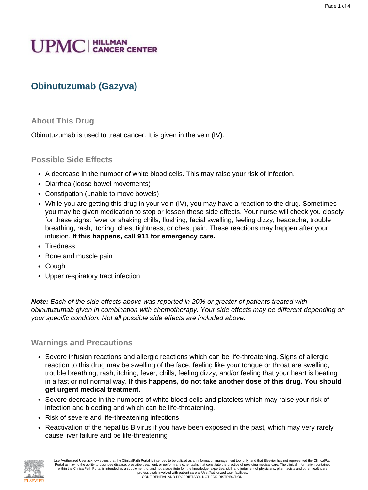# **UPMC** | HILLMAN

# **Obinutuzumab (Gazyva)**

## **About This Drug**

Obinutuzumab is used to treat cancer. It is given in the vein (IV).

## **Possible Side Effects**

- A decrease in the number of white blood cells. This may raise your risk of infection.
- Diarrhea (loose bowel movements)
- Constipation (unable to move bowels)
- While you are getting this drug in your vein (IV), you may have a reaction to the drug. Sometimes you may be given medication to stop or lessen these side effects. Your nurse will check you closely for these signs: fever or shaking chills, flushing, facial swelling, feeling dizzy, headache, trouble breathing, rash, itching, chest tightness, or chest pain. These reactions may happen after your infusion. **If this happens, call 911 for emergency care.**
- Tiredness
- Bone and muscle pain
- Cough
- Upper respiratory tract infection

**Note:** Each of the side effects above was reported in 20% or greater of patients treated with obinutuzumab given in combination with chemotherapy. Your side effects may be different depending on your specific condition. Not all possible side effects are included above.

## **Warnings and Precautions**

- Severe infusion reactions and allergic reactions which can be life-threatening. Signs of allergic reaction to this drug may be swelling of the face, feeling like your tongue or throat are swelling, trouble breathing, rash, itching, fever, chills, feeling dizzy, and/or feeling that your heart is beating in a fast or not normal way. **If this happens, do not take another dose of this drug. You should get urgent medical treatment.**
- Severe decrease in the numbers of white blood cells and platelets which may raise your risk of infection and bleeding and which can be life-threatening.
- Risk of severe and life-threatening infections
- Reactivation of the hepatitis B virus if you have been exposed in the past, which may very rarely cause liver failure and be life-threatening



User/Authorized User acknowledges that the ClinicalPath Portal is intended to be utilized as an information management tool only, and that Elsevier has not represented the ClinicalPath Portal as having the ability to diagnose disease, prescribe treatment, or perform any other tasks that constitute the practice of providing medical care. The clinical information contained within the ClinicalPath Portal is intended as a supplement to, and not a substitute for, the knowledge, expertise, skill, and judgment of physicians, pharmacists and other healthcare professionals involved with patient care at User/Authorized User facilities. CONFIDENTIAL AND PROPRIETARY. NOT FOR DISTRIBUTION.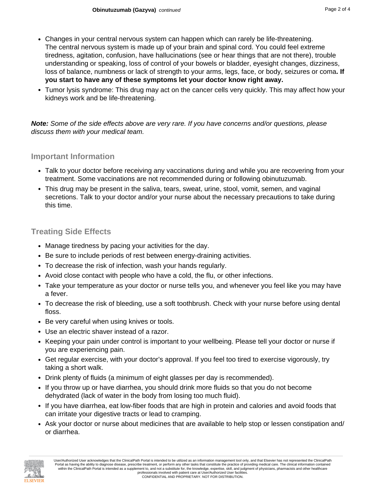- Changes in your central nervous system can happen which can rarely be life-threatening. The central nervous system is made up of your brain and spinal cord. You could feel extreme tiredness, agitation, confusion, have hallucinations (see or hear things that are not there), trouble understanding or speaking, loss of control of your bowels or bladder, eyesight changes, dizziness, loss of balance, numbness or lack of strength to your arms, legs, face, or body, seizures or coma**. If you start to have any of these symptoms let your doctor know right away.**
- Tumor lysis syndrome: This drug may act on the cancer cells very quickly. This may affect how your kidneys work and be life-threatening.

**Note:** Some of the side effects above are very rare. If you have concerns and/or questions, please discuss them with your medical team.

#### **Important Information**

- Talk to your doctor before receiving any vaccinations during and while you are recovering from your treatment. Some vaccinations are not recommended during or following obinutuzumab.
- This drug may be present in the saliva, tears, sweat, urine, stool, vomit, semen, and vaginal secretions. Talk to your doctor and/or your nurse about the necessary precautions to take during this time.

# **Treating Side Effects**

- Manage tiredness by pacing your activities for the day.
- Be sure to include periods of rest between energy-draining activities.
- To decrease the risk of infection, wash your hands regularly.
- Avoid close contact with people who have a cold, the flu, or other infections.
- Take your temperature as your doctor or nurse tells you, and whenever you feel like you may have a fever.
- To decrease the risk of bleeding, use a soft toothbrush. Check with your nurse before using dental floss.
- Be very careful when using knives or tools.
- Use an electric shaver instead of a razor.
- Keeping your pain under control is important to your wellbeing. Please tell your doctor or nurse if you are experiencing pain.
- Get regular exercise, with your doctor's approval. If you feel too tired to exercise vigorously, try taking a short walk.
- Drink plenty of fluids (a minimum of eight glasses per day is recommended).
- If you throw up or have diarrhea, you should drink more fluids so that you do not become dehydrated (lack of water in the body from losing too much fluid).
- If you have diarrhea, eat low-fiber foods that are high in protein and calories and avoid foods that can irritate your digestive tracts or lead to cramping.
- Ask your doctor or nurse about medicines that are available to help stop or lessen constipation and/ or diarrhea.

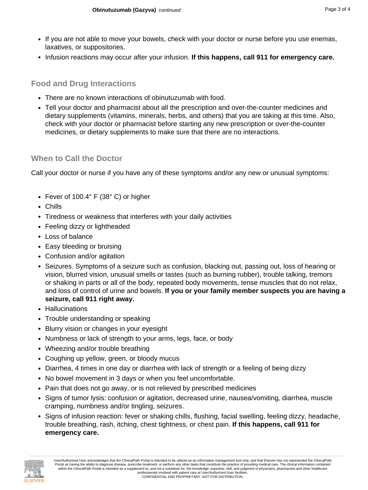- If you are not able to move your bowels, check with your doctor or nurse before you use enemas, laxatives, or suppositories.
- Infusion reactions may occur after your infusion. **If this happens, call 911 for emergency care.**

# **Food and Drug Interactions**

- There are no known interactions of obinutuzumab with food.
- Tell your doctor and pharmacist about all the prescription and over-the-counter medicines and dietary supplements (vitamins, minerals, herbs, and others) that you are taking at this time. Also, check with your doctor or pharmacist before starting any new prescription or over-the-counter medicines, or dietary supplements to make sure that there are no interactions.

# **When to Call the Doctor**

Call your doctor or nurse if you have any of these symptoms and/or any new or unusual symptoms:

- Fever of 100.4° F (38° C) or higher
- Chills
- Tiredness or weakness that interferes with your daily activities
- Feeling dizzy or lightheaded
- Loss of balance
- Easy bleeding or bruising
- Confusion and/or agitation
- Seizures. Symptoms of a seizure such as confusion, blacking out, passing out, loss of hearing or vision, blurred vision, unusual smells or tastes (such as burning rubber), trouble talking, tremors or shaking in parts or all of the body, repeated body movements, tense muscles that do not relax, and loss of control of urine and bowels. **If you or your family member suspects you are having a seizure, call 911 right away.**
- Hallucinations
- Trouble understanding or speaking
- Blurry vision or changes in your eyesight
- Numbness or lack of strength to your arms, legs, face, or body
- Wheezing and/or trouble breathing
- Coughing up yellow, green, or bloody mucus
- Diarrhea, 4 times in one day or diarrhea with lack of strength or a feeling of being dizzy
- No bowel movement in 3 days or when you feel uncomfortable.
- Pain that does not go away, or is not relieved by prescribed medicines
- Signs of tumor lysis: confusion or agitation, decreased urine, nausea/vomiting, diarrhea, muscle cramping, numbness and/or tingling, seizures.
- Signs of infusion reaction: fever or shaking chills, flushing, facial swelling, feeling dizzy, headache, trouble breathing, rash, itching, chest tightness, or chest pain. **If this happens, call 911 for emergency care.**